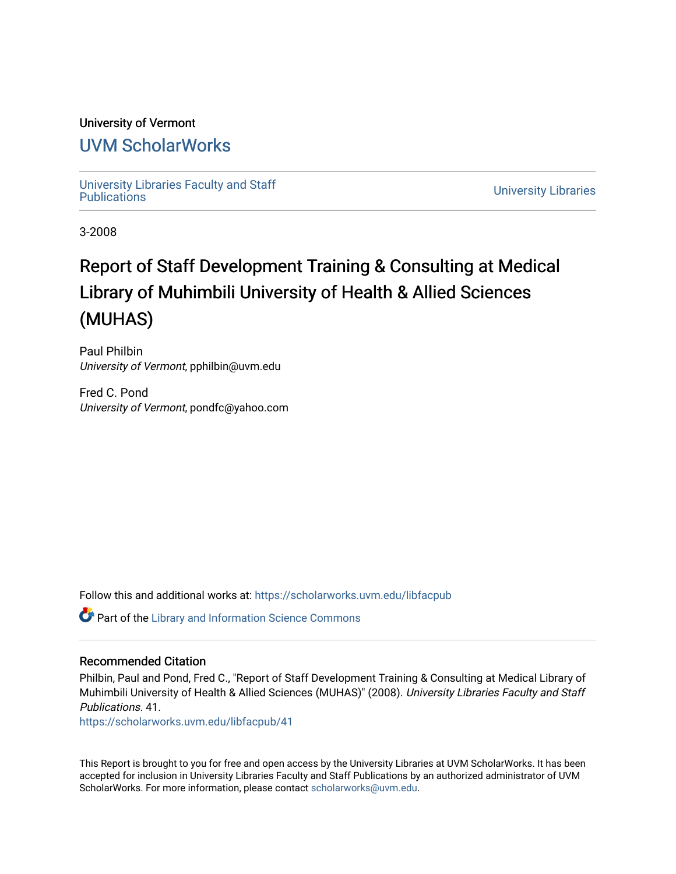# University of Vermont

# [UVM ScholarWorks](https://scholarworks.uvm.edu/)

[University Libraries Faculty and Staff](https://scholarworks.uvm.edu/libfacpub) 

**University Libraries** 

3-2008

# Report of Staff Development Training & Consulting at Medical Library of Muhimbili University of Health & Allied Sciences (MUHAS)

Paul Philbin University of Vermont, pphilbin@uvm.edu

Fred C. Pond University of Vermont, pondfc@yahoo.com

Follow this and additional works at: [https://scholarworks.uvm.edu/libfacpub](https://scholarworks.uvm.edu/libfacpub?utm_source=scholarworks.uvm.edu%2Flibfacpub%2F41&utm_medium=PDF&utm_campaign=PDFCoverPages)

Part of the [Library and Information Science Commons](http://network.bepress.com/hgg/discipline/1018?utm_source=scholarworks.uvm.edu%2Flibfacpub%2F41&utm_medium=PDF&utm_campaign=PDFCoverPages) 

### Recommended Citation

Philbin, Paul and Pond, Fred C., "Report of Staff Development Training & Consulting at Medical Library of Muhimbili University of Health & Allied Sciences (MUHAS)" (2008). University Libraries Faculty and Staff Publications. 41.

[https://scholarworks.uvm.edu/libfacpub/41](https://scholarworks.uvm.edu/libfacpub/41?utm_source=scholarworks.uvm.edu%2Flibfacpub%2F41&utm_medium=PDF&utm_campaign=PDFCoverPages) 

This Report is brought to you for free and open access by the University Libraries at UVM ScholarWorks. It has been accepted for inclusion in University Libraries Faculty and Staff Publications by an authorized administrator of UVM ScholarWorks. For more information, please contact [scholarworks@uvm.edu](mailto:scholarworks@uvm.edu).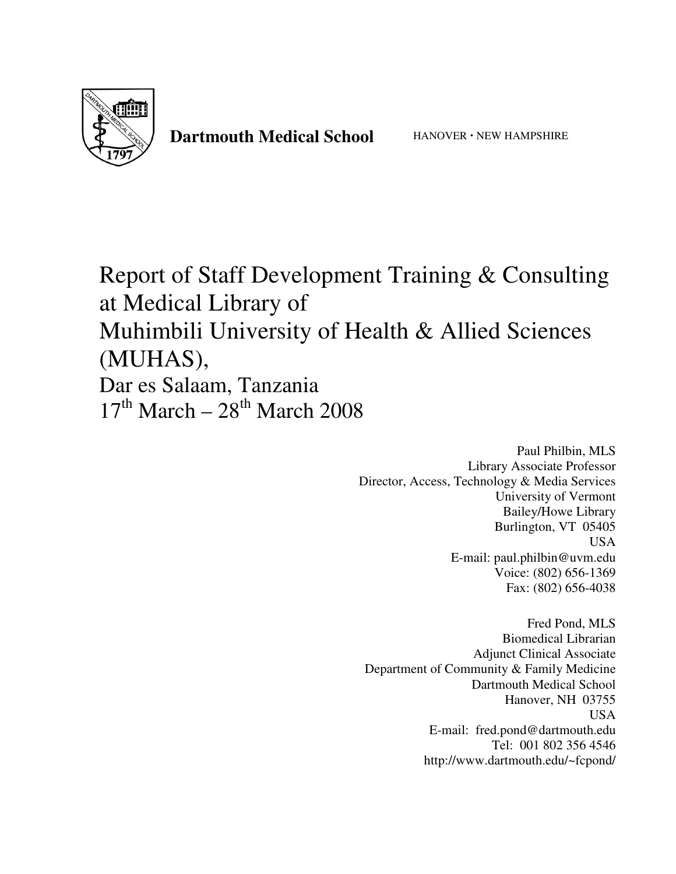

# Dartmouth Medical School **HANOVER** · NEW HAMPSHIRE

Report of Staff Development Training & Consulting at Medical Library of Muhimbili University of Health & Allied Sciences (MUHAS), Dar es Salaam, Tanzania  $17<sup>th</sup> March - 28<sup>th</sup> March 2008$ 

> Paul Philbin, MLS Library Associate Professor Director, Access, Technology & Media Services University of Vermont Bailey/Howe Library Burlington, VT 05405 USA E-mail: paul.philbin@uvm.edu Voice: (802) 656-1369 Fax: (802) 656-4038

Fred Pond, MLS Biomedical Librarian Adjunct Clinical Associate Department of Community & Family Medicine Dartmouth Medical School Hanover, NH 03755 USA E-mail: fred.pond@dartmouth.edu Tel: 001 802 356 4546 http://www.dartmouth.edu/~fcpond/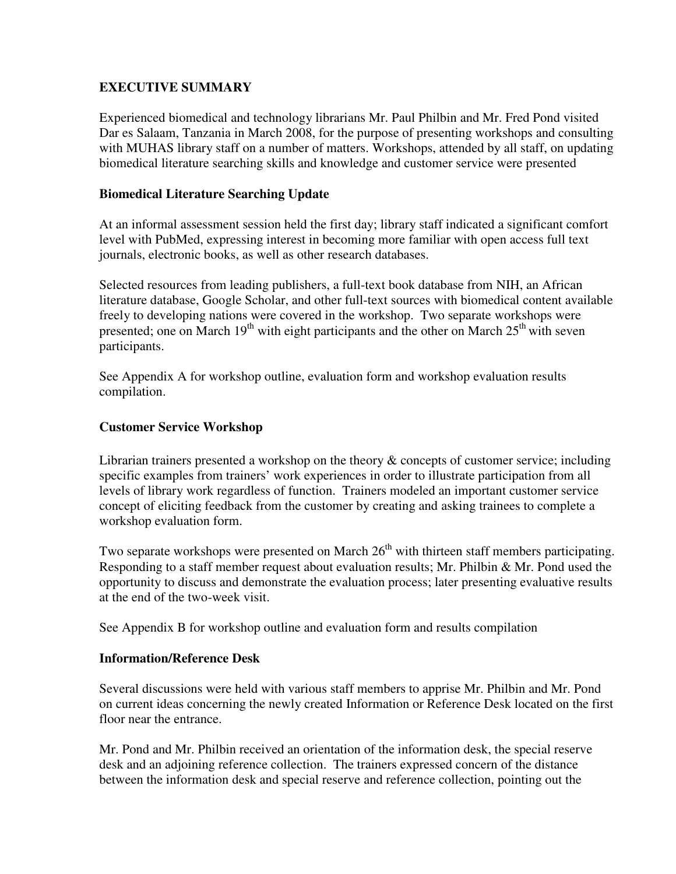# **EXECUTIVE SUMMARY**

Experienced biomedical and technology librarians Mr. Paul Philbin and Mr. Fred Pond visited Dar es Salaam, Tanzania in March 2008, for the purpose of presenting workshops and consulting with MUHAS library staff on a number of matters. Workshops, attended by all staff, on updating biomedical literature searching skills and knowledge and customer service were presented

# **Biomedical Literature Searching Update**

At an informal assessment session held the first day; library staff indicated a significant comfort level with PubMed, expressing interest in becoming more familiar with open access full text journals, electronic books, as well as other research databases.

Selected resources from leading publishers, a full-text book database from NIH, an African literature database, Google Scholar, and other full-text sources with biomedical content available freely to developing nations were covered in the workshop. Two separate workshops were presented; one on March  $19<sup>th</sup>$  with eight participants and the other on March  $25<sup>th</sup>$  with seven participants.

See Appendix A for workshop outline, evaluation form and workshop evaluation results compilation.

# **Customer Service Workshop**

Librarian trainers presented a workshop on the theory & concepts of customer service; including specific examples from trainers' work experiences in order to illustrate participation from all levels of library work regardless of function. Trainers modeled an important customer service concept of eliciting feedback from the customer by creating and asking trainees to complete a workshop evaluation form.

Two separate workshops were presented on March  $26<sup>th</sup>$  with thirteen staff members participating. Responding to a staff member request about evaluation results; Mr. Philbin & Mr. Pond used the opportunity to discuss and demonstrate the evaluation process; later presenting evaluative results at the end of the two-week visit.

See Appendix B for workshop outline and evaluation form and results compilation

# **Information/Reference Desk**

Several discussions were held with various staff members to apprise Mr. Philbin and Mr. Pond on current ideas concerning the newly created Information or Reference Desk located on the first floor near the entrance.

Mr. Pond and Mr. Philbin received an orientation of the information desk, the special reserve desk and an adjoining reference collection. The trainers expressed concern of the distance between the information desk and special reserve and reference collection, pointing out the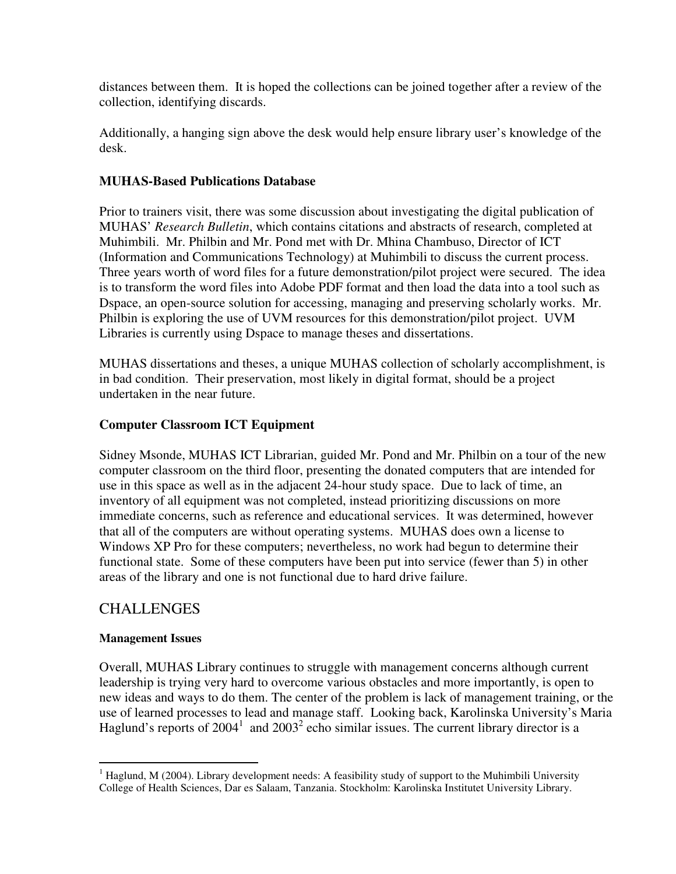distances between them. It is hoped the collections can be joined together after a review of the collection, identifying discards.

Additionally, a hanging sign above the desk would help ensure library user's knowledge of the desk.

# **MUHAS-Based Publications Database**

Prior to trainers visit, there was some discussion about investigating the digital publication of MUHAS' *Research Bulletin*, which contains citations and abstracts of research, completed at Muhimbili. Mr. Philbin and Mr. Pond met with Dr. Mhina Chambuso, Director of ICT (Information and Communications Technology) at Muhimbili to discuss the current process. Three years worth of word files for a future demonstration/pilot project were secured. The idea is to transform the word files into Adobe PDF format and then load the data into a tool such as Dspace, an open-source solution for accessing, managing and preserving scholarly works. Mr. Philbin is exploring the use of UVM resources for this demonstration/pilot project. UVM Libraries is currently using Dspace to manage theses and dissertations.

MUHAS dissertations and theses, a unique MUHAS collection of scholarly accomplishment, is in bad condition. Their preservation, most likely in digital format, should be a project undertaken in the near future.

# **Computer Classroom ICT Equipment**

Sidney Msonde, MUHAS ICT Librarian, guided Mr. Pond and Mr. Philbin on a tour of the new computer classroom on the third floor, presenting the donated computers that are intended for use in this space as well as in the adjacent 24-hour study space. Due to lack of time, an inventory of all equipment was not completed, instead prioritizing discussions on more immediate concerns, such as reference and educational services. It was determined, however that all of the computers are without operating systems. MUHAS does own a license to Windows XP Pro for these computers; nevertheless, no work had begun to determine their functional state. Some of these computers have been put into service (fewer than 5) in other areas of the library and one is not functional due to hard drive failure.

# CHALLENGES

# **Management Issues**

Overall, MUHAS Library continues to struggle with management concerns although current leadership is trying very hard to overcome various obstacles and more importantly, is open to new ideas and ways to do them. The center of the problem is lack of management training, or the use of learned processes to lead and manage staff. Looking back, Karolinska University's Maria Haglund's reports of  $2004<sup>1</sup>$  and  $2003<sup>2</sup>$  echo similar issues. The current library director is a

 $\overline{a}$  $1$  Haglund, M (2004). Library development needs: A feasibility study of support to the Muhimbili University College of Health Sciences, Dar es Salaam, Tanzania. Stockholm: Karolinska Institutet University Library.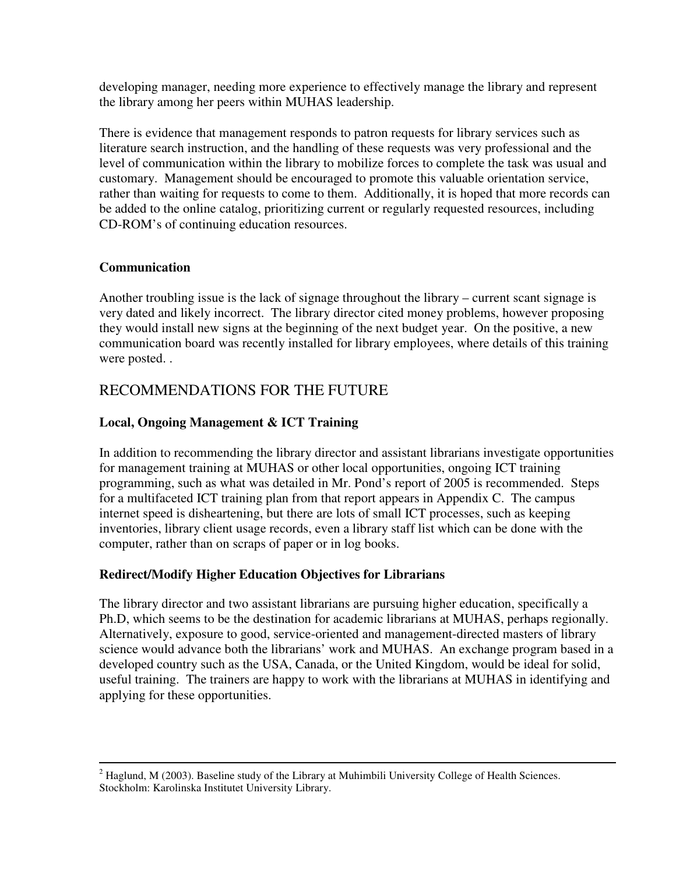developing manager, needing more experience to effectively manage the library and represent the library among her peers within MUHAS leadership.

There is evidence that management responds to patron requests for library services such as literature search instruction, and the handling of these requests was very professional and the level of communication within the library to mobilize forces to complete the task was usual and customary. Management should be encouraged to promote this valuable orientation service, rather than waiting for requests to come to them. Additionally, it is hoped that more records can be added to the online catalog, prioritizing current or regularly requested resources, including CD-ROM's of continuing education resources.

# **Communication**

Another troubling issue is the lack of signage throughout the library – current scant signage is very dated and likely incorrect. The library director cited money problems, however proposing they would install new signs at the beginning of the next budget year. On the positive, a new communication board was recently installed for library employees, where details of this training were posted. .

# RECOMMENDATIONS FOR THE FUTURE

# **Local, Ongoing Management & ICT Training**

In addition to recommending the library director and assistant librarians investigate opportunities for management training at MUHAS or other local opportunities, ongoing ICT training programming, such as what was detailed in Mr. Pond's report of 2005 is recommended. Steps for a multifaceted ICT training plan from that report appears in Appendix C. The campus internet speed is disheartening, but there are lots of small ICT processes, such as keeping inventories, library client usage records, even a library staff list which can be done with the computer, rather than on scraps of paper or in log books.

# **Redirect/Modify Higher Education Objectives for Librarians**

The library director and two assistant librarians are pursuing higher education, specifically a Ph.D, which seems to be the destination for academic librarians at MUHAS, perhaps regionally. Alternatively, exposure to good, service-oriented and management-directed masters of library science would advance both the librarians' work and MUHAS. An exchange program based in a developed country such as the USA, Canada, or the United Kingdom, would be ideal for solid, useful training. The trainers are happy to work with the librarians at MUHAS in identifying and applying for these opportunities.

<sup>&</sup>lt;sup>2</sup> Haglund, M (2003). Baseline study of the Library at Muhimbili University College of Health Sciences. Stockholm: Karolinska Institutet University Library.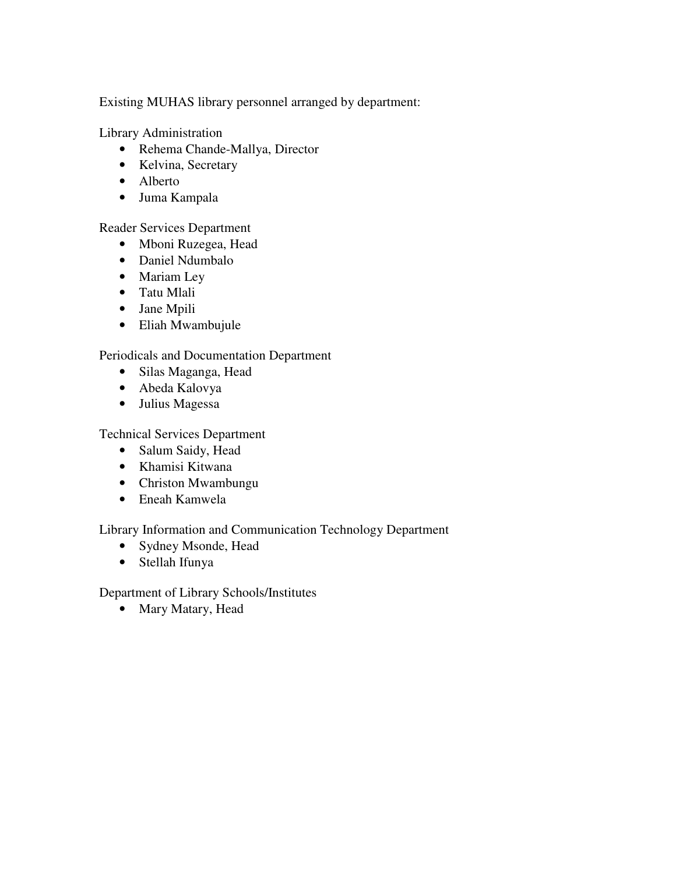Existing MUHAS library personnel arranged by department:

Library Administration

- Rehema Chande-Mallya, Director
- Kelvina, Secretary
- Alberto
- Juma Kampala

Reader Services Department

- Mboni Ruzegea, Head
- Daniel Ndumbalo
- Mariam Ley
- Tatu Mlali
- Jane Mpili
- Eliah Mwambujule

# Periodicals and Documentation Department

- Silas Maganga, Head
- Abeda Kalovya
- Julius Magessa

Technical Services Department

- Salum Saidy, Head
- Khamisi Kitwana
- Christon Mwambungu
- Eneah Kamwela

Library Information and Communication Technology Department

- Sydney Msonde, Head
- Stellah Ifunya

Department of Library Schools/Institutes

• Mary Matary, Head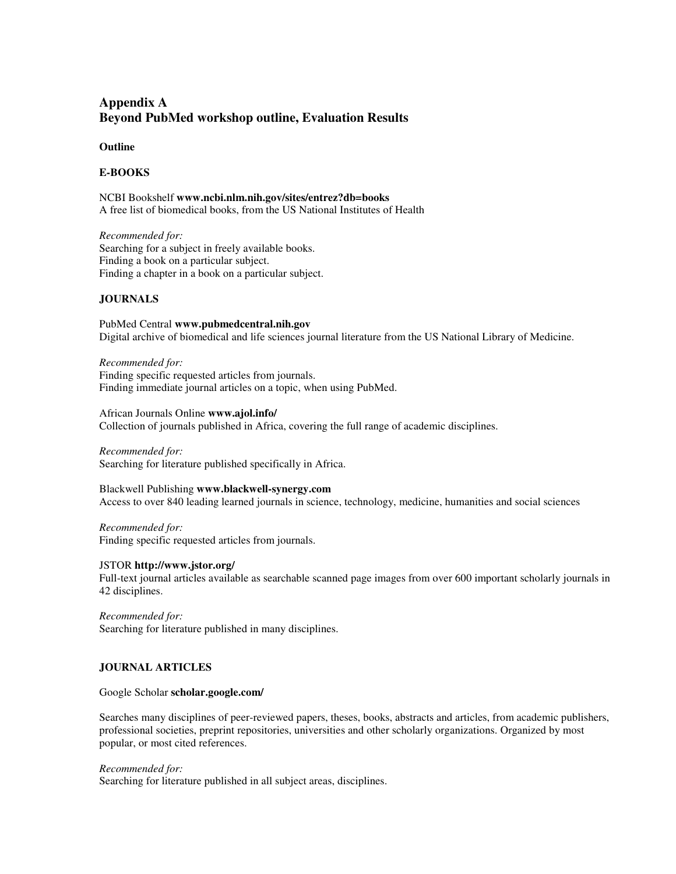# **Appendix A Beyond PubMed workshop outline, Evaluation Results**

#### **Outline**

#### **E-BOOKS**

NCBI Bookshelf **www.ncbi.nlm.nih.gov/sites/entrez?db=books**  A free list of biomedical books, from the US National Institutes of Health

*Recommended for:* Searching for a subject in freely available books. Finding a book on a particular subject. Finding a chapter in a book on a particular subject.

#### **JOURNALS**

PubMed Central **www.pubmedcentral.nih.gov** Digital archive of biomedical and life sciences journal literature from the US National Library of Medicine.

*Recommended for:*  Finding specific requested articles from journals. Finding immediate journal articles on a topic, when using PubMed.

African Journals Online **www.ajol.info/**  Collection of journals published in Africa, covering the full range of academic disciplines.

*Recommended for:*  Searching for literature published specifically in Africa.

Blackwell Publishing **www.blackwell-synergy.com** Access to over 840 leading learned journals in science, technology, medicine, humanities and social sciences

*Recommended for:* Finding specific requested articles from journals.

JSTOR **http://www.jstor.org/**

Full-text journal articles available as searchable scanned page images from over 600 important scholarly journals in 42 disciplines.

*Recommended for:*  Searching for literature published in many disciplines.

#### **JOURNAL ARTICLES**

Google Scholar **scholar.google.com/** 

Searches many disciplines of peer-reviewed papers, theses, books, abstracts and articles, from academic publishers, professional societies, preprint repositories, universities and other scholarly organizations. Organized by most popular, or most cited references.

#### *Recommended for:*

Searching for literature published in all subject areas, disciplines.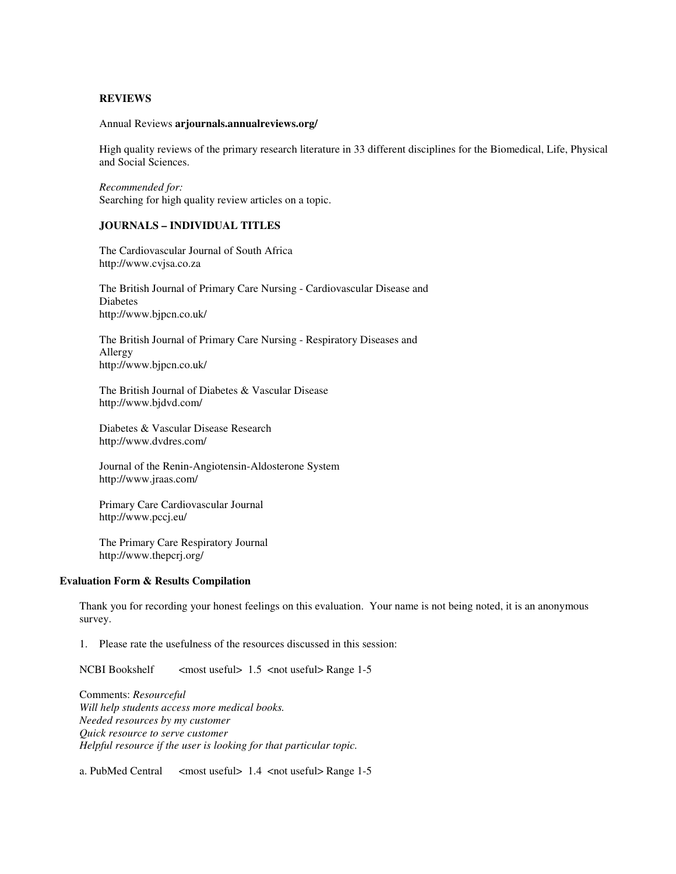#### **REVIEWS**

#### Annual Reviews **arjournals.annualreviews.org/**

High quality reviews of the primary research literature in 33 different disciplines for the Biomedical, Life, Physical and Social Sciences.

*Recommended for:*  Searching for high quality review articles on a topic.

#### **JOURNALS – INDIVIDUAL TITLES**

The Cardiovascular Journal of South Africa http://www.cvjsa.co.za

The British Journal of Primary Care Nursing - Cardiovascular Disease and Diabetes http://www.bjpcn.co.uk/

The British Journal of Primary Care Nursing - Respiratory Diseases and Allergy http://www.bjpcn.co.uk/

The British Journal of Diabetes & Vascular Disease http://www.bjdvd.com/

Diabetes & Vascular Disease Research http://www.dvdres.com/

Journal of the Renin-Angiotensin-Aldosterone System http://www.jraas.com/

Primary Care Cardiovascular Journal http://www.pccj.eu/

The Primary Care Respiratory Journal http://www.thepcrj.org/

#### **Evaluation Form & Results Compilation**

Thank you for recording your honest feelings on this evaluation. Your name is not being noted, it is an anonymous survey.

1. Please rate the usefulness of the resources discussed in this session:

NCBI Bookshelf <most useful> 1.5 <not useful> Range 1-5

Comments: *Resourceful Will help students access more medical books. Needed resources by my customer Quick resource to serve customer Helpful resource if the user is looking for that particular topic.* 

a. PubMed Central <most useful> 1.4 <not useful> Range 1-5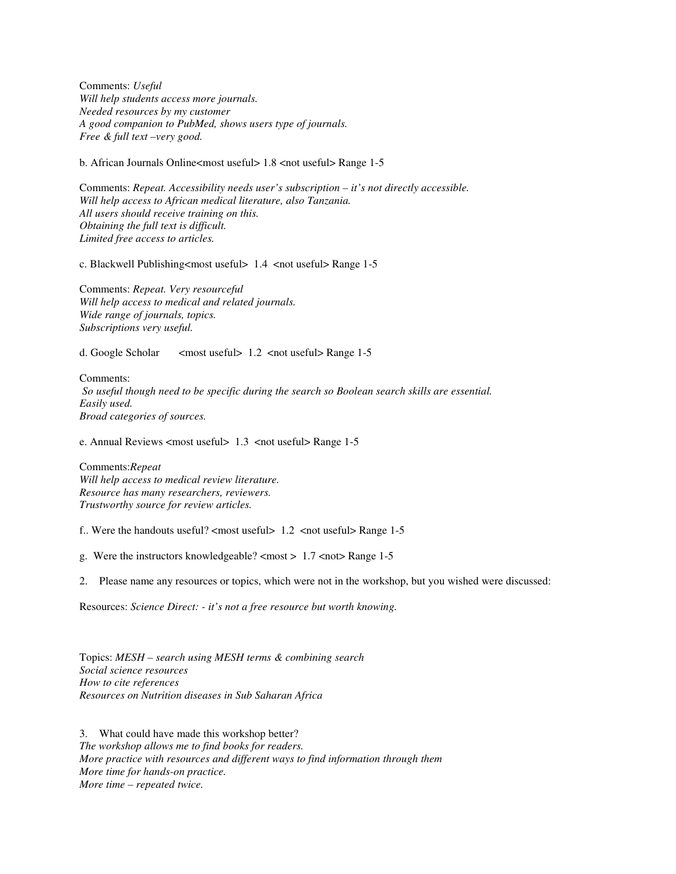Comments: *Useful Will help students access more journals. Needed resources by my customer A good companion to PubMed, shows users type of journals. Free & full text –very good.* 

b. African Journals Online<most useful>  $1.8$  <not useful> Range 1-5

Comments: *Repeat. Accessibility needs user's subscription – it's not directly accessible. Will help access to African medical literature, also Tanzania. All users should receive training on this. Obtaining the full text is difficult. Limited free access to articles.* 

c. Blackwell Publishing<most useful> 1.4 <not useful> Range 1-5

Comments: *Repeat. Very resourceful Will help access to medical and related journals. Wide range of journals, topics. Subscriptions very useful.* 

d. Google Scholar <most useful> 1.2 <not useful> Range 1-5

Comments:  *So useful though need to be specific during the search so Boolean search skills are essential. Easily used. Broad categories of sources.* 

e. Annual Reviews <most useful> 1.3 <not useful> Range 1-5

Comments:*Repeat Will help access to medical review literature. Resource has many researchers, reviewers. Trustworthy source for review articles.* 

f.. Were the handouts useful? <most useful> 1.2 <not useful> Range 1-5

g. Were the instructors knowledgeable? <most > 1.7 <not> Range 1-5

2. Please name any resources or topics, which were not in the workshop, but you wished were discussed:

Resources: *Science Direct: - it's not a free resource but worth knowing.*

Topics: *MESH – search using MESH terms & combining search Social science resources How to cite references Resources on Nutrition diseases in Sub Saharan Africa* 

3. What could have made this workshop better? *The workshop allows me to find books for readers. More practice with resources and different ways to find information through them More time for hands-on practice. More time – repeated twice.*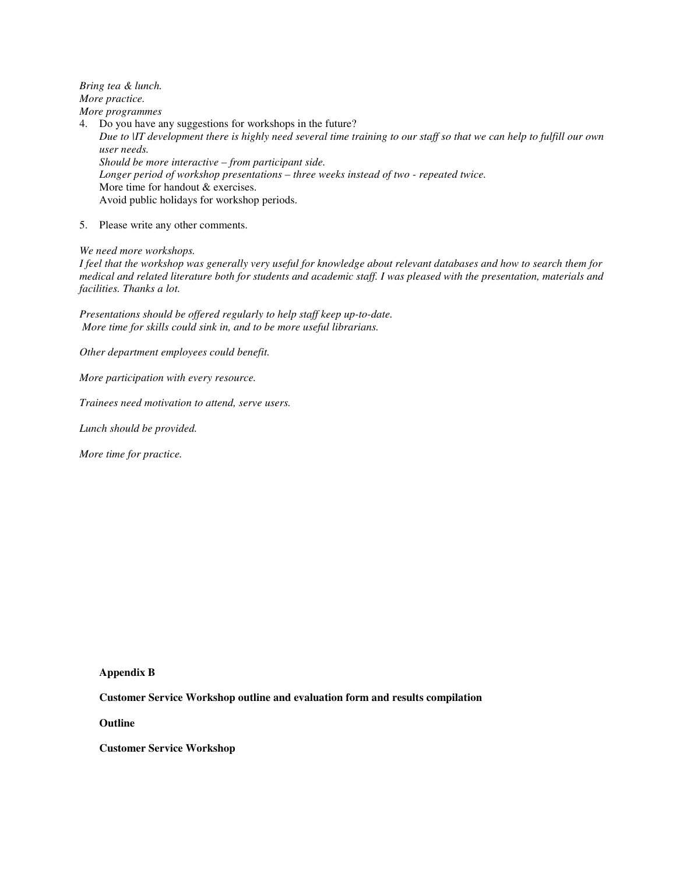*Bring tea & lunch. More practice.* 

*More programmes* 

4. Do you have any suggestions for workshops in the future? *Due to |IT development there is highly need several time training to our staff so that we can help to fulfill our own user needs. Should be more interactive – from participant side. Longer period of workshop presentations – three weeks instead of two - repeated twice.*  More time for handout & exercises. Avoid public holidays for workshop periods.

5. Please write any other comments.

*We need more workshops.* 

*I feel that the workshop was generally very useful for knowledge about relevant databases and how to search them for medical and related literature both for students and academic staff. I was pleased with the presentation, materials and facilities. Thanks a lot.* 

*Presentations should be offered regularly to help staff keep up-to-date. More time for skills could sink in, and to be more useful librarians.* 

*Other department employees could benefit.* 

*More participation with every resource.* 

*Trainees need motivation to attend, serve users.* 

*Lunch should be provided.* 

*More time for practice.* 

**Appendix B** 

**Customer Service Workshop outline and evaluation form and results compilation** 

**Outline** 

**Customer Service Workshop**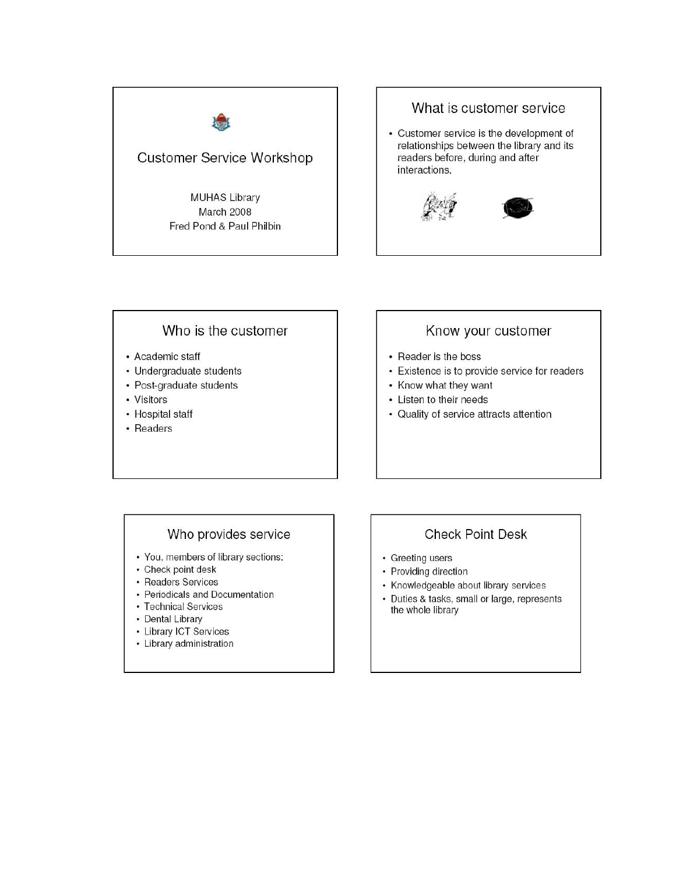



# Who is the customer

- Academic staff
- Undergraduate students
- Post-graduate students
- Visitors
- Hospital staff
- Readers

# Know your customer

- Reader is the boss
- Existence is to provide service for readers
- Know what they want
- Listen to their needs
- Quality of service attracts attention

### Who provides service

- You, members of library sections:
- Check point desk
- Readers Services
- Periodicals and Documentation
- Technical Services
- Dental Library
- Library ICT Services
- Library administration

# **Check Point Desk**

- Greeting users
- Providing direction
- Knowledgeable about library services
- Duties & tasks, small or large, represents the whole library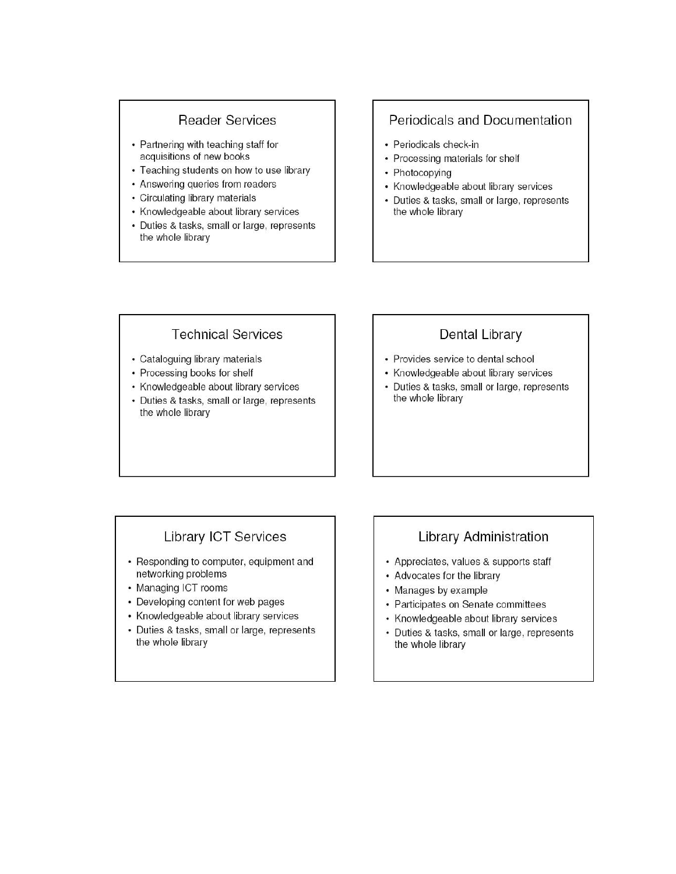### **Reader Services**

- Partnering with teaching staff for acquisitions of new books
- Teaching students on how to use library
- Answering queries from readers
- Circulating library materials
- Knowledgeable about library services
- Duties & tasks, small or large, represents the whole library

### Periodicals and Documentation

- Periodicals check-in
- Processing materials for shelf
- Photocopying
- Knowledgeable about library services
- Duties & tasks, small or large, represents the whole library

### **Technical Services**

- Cataloguing library materials
- Processing books for shelf
- Knowledgeable about library services
- Duties & tasks, small or large, represents the whole library

# Dental Library

- Provides service to dental school
- Knowledgeable about library services
- Duties & tasks, small or large, represents the whole library

# **Library ICT Services**

- Responding to computer, equipment and networking problems
- Managing ICT rooms
- Developing content for web pages
- Knowledgeable about library services
- Duties & tasks, small or large, represents the whole library

# **Library Administration**

- Appreciates, values & supports staff
- Advocates for the library
- Manages by example
- Participates on Senate committees
- Knowledgeable about library services
- Duties & tasks, small or large, represents the whole library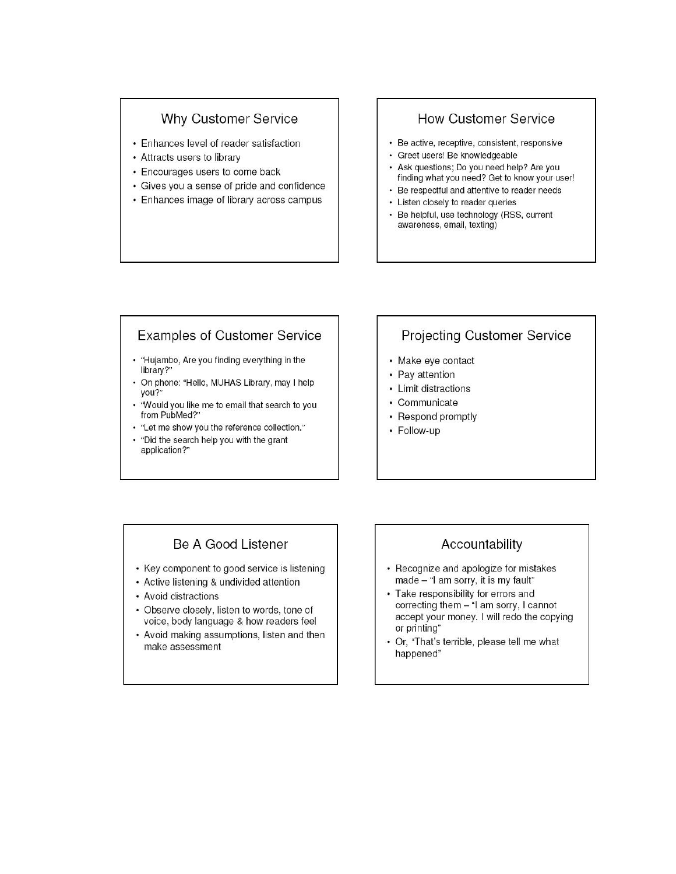### **Why Customer Service**

- Enhances level of reader satisfaction
- Attracts users to library
- Encourages users to come back
- Gives you a sense of pride and confidence
- Enhances image of library across campus

### **How Customer Service**

- Be active, receptive, consistent, responsive
- · Greet users! Be knowledgeable
- Ask questions: Do you need help? Are you finding what you need? Get to know your user!
- Be respectful and attentive to reader needs
- Listen closely to reader queries
- Be helpful, use technology (RSS, current awareness, email, texting)

# **Examples of Customer Service**

- "Hujambo, Are you finding everything in the library?"
- On phone: "Hello, MUHAS Library, may I help you?"
- . 'Would you like me to email that search to you from PubMed?"
- "Let me show you the reference collection."
- . "Did the search help you with the grant application?"

# **Projecting Customer Service**

- Make eye contact
- Pay attention
- Limit distractions
- Communicate
- Respond promptly
- Follow-up

# Be A Good Listener

- Key component to good service is listening
- Active listening & undivided attention
- Avoid distractions
- Observe closely, listen to words, tone of voice, body language & how readers feel
- Avoid making assumptions, listen and then make assessment

# Accountability

- Recognize and apologize for mistakes made - "I am sorry, it is my fault"
- Take responsibility for errors and correcting them - "I am sorry, I cannot accept your money. I will redo the copying or printing"
- Or, "That's terrible, please tell me what happened"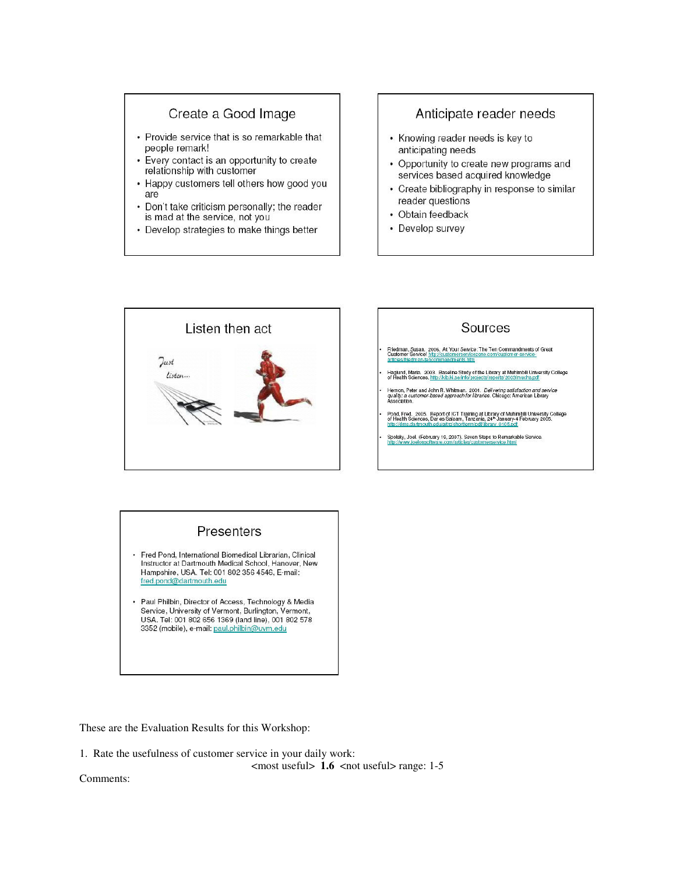# Create a Good Image

- Provide service that is so remarkable that people remark!
- Every contact is an opportunity to create relationship with customer
- Happy customers tell others how good you are
- Don't take criticism personally; the reader is mad at the service, not you
- Develop strategies to make things better

### Anticipate reader needs

- Knowing reader needs is key to anticipating needs
- Opportunity to create new programs and services based acquired knowledge
- Create bibliography in response to similar reader questions
- Obtain feedback
- Develop survey



# Sources

- Friedman, Susan. 2006. At Your Service: The Ten Commandments of Great<br>Customer Service! http://customerservicezone.com/customer-serviceents.htm
- Haglund, Maria. 2003. Baseline Study of the Library at Muhimbili University College<br>of Health Sciences. http://kib.ki.se/info/projects/reports/2003/muchs reff

Hernon, Peter and John R. Whitman. 2001. Delivering satisfaction and service<br>quality: a customer-based approach for libraries. Chicago: American Library<br>Association.

Pond, Fred. 2005. Report of ICT Training at Library of Muhimbili University College<br>of Health Sciences, Dar es Salaam, Tanzania, 24th January 4 February 2005.

Spolsky, Joel. (February 19, 2007). Seven Steps to Remarkable Service.<br>http://www.joelonsoftware.com/articles/customerservice.html

### Presenters

- · Fred Pond, International Biomedical Librarian, Clinical Instructor at Dartmouth Medical School, Hanover, New Hampshire, USA. Tel: 001 802 356 4546, E-mail: fred.pond@dartmouth.edu
- Paul Philbin, Director of Access, Technology & Media Service, University of Vermont, Burlington, Vermont, USA. Tel: 001 802 656 1369 (land line), 001 802 578 3352 (mobile), e-mail: paul.philbin@uvm.edu

These are the Evaluation Results for this Workshop:

1. Rate the usefulness of customer service in your daily work:

 $\langle \text{most useful} \rangle$  1.6  $\langle \text{not useful} \rangle$  range: 1-5

Comments: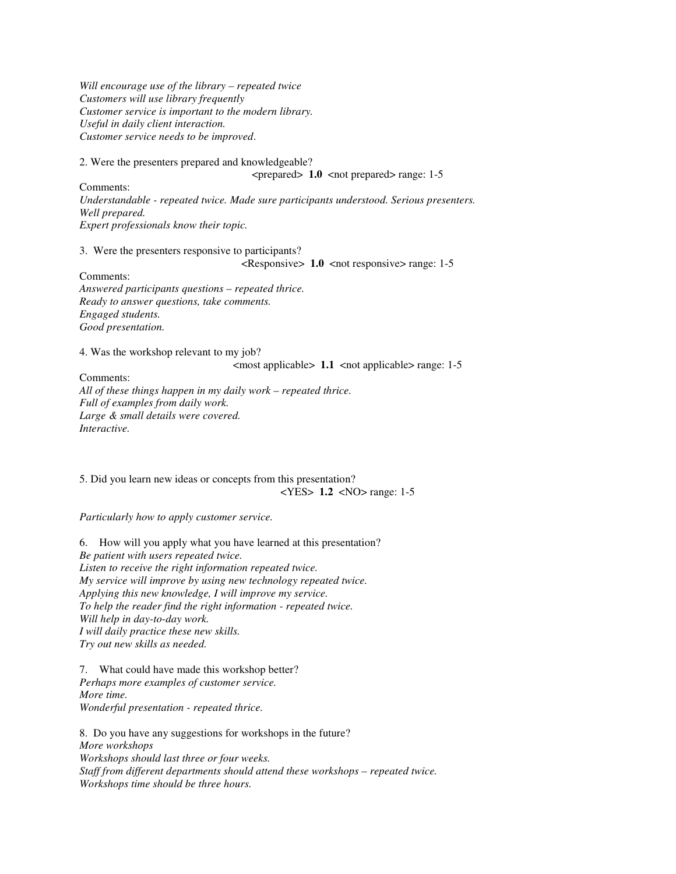*Will encourage use of the library – repeated twice Customers will use library frequently Customer service is important to the modern library. Useful in daily client interaction. Customer service needs to be improved*.

2. Were the presenters prepared and knowledgeable?

 $\epsilon$  >  $\epsilon$  1.0  $\epsilon$   $\epsilon$  and prepared  $\epsilon$  range: 1-5

Comments: *Understandable - repeated twice. Made sure participants understood. Serious presenters. Well prepared. Expert professionals know their topic.* 

3. Were the presenters responsive to participants?

 $\langle$ Responsive> 1.0  $\langle$  not responsive> range: 1-5

Comments: *Answered participants questions – repeated thrice. Ready to answer questions, take comments. Engaged students. Good presentation.* 

4. Was the workshop relevant to my job?

 $\leq$  most applicable > 1.1  $\leq$  not applicable > range: 1-5

Comments: *All of these things happen in my daily work – repeated thrice. Full of examples from daily work. Large & small details were covered. Interactive.* 

5. Did you learn new ideas or concepts from this presentation? <YES> **1.2** <NO> range: 1-5

*Particularly how to apply customer service.* 

6. How will you apply what you have learned at this presentation? *Be patient with users repeated twice. Listen to receive the right information repeated twice. My service will improve by using new technology repeated twice. Applying this new knowledge, I will improve my service. To help the reader find the right information - repeated twice. Will help in day-to-day work. I will daily practice these new skills. Try out new skills as needed.* 

7. What could have made this workshop better?

*Perhaps more examples of customer service. More time. Wonderful presentation - repeated thrice.* 

8. Do you have any suggestions for workshops in the future? *More workshops Workshops should last three or four weeks. Staff from different departments should attend these workshops – repeated twice. Workshops time should be three hours.*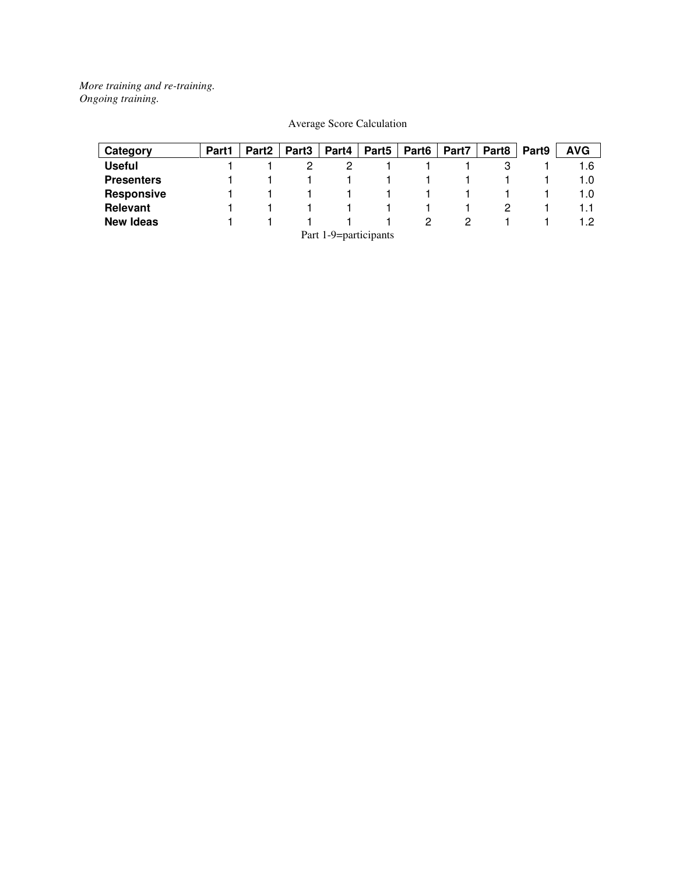*More training and re-training. Ongoing training.* 

| Category                    | Part1 | Part <sub>2</sub> | Part <sub>3</sub> | Part4 | Part <sub>5</sub> | Part <sub>6</sub> | Part7 | Part <sub>8</sub> | Part <sub>9</sub> | <b>AVG</b> |
|-----------------------------|-------|-------------------|-------------------|-------|-------------------|-------------------|-------|-------------------|-------------------|------------|
| Useful                      |       |                   |                   |       |                   |                   |       |                   |                   | 1.6        |
| <b>Presenters</b>           |       |                   |                   |       |                   |                   |       |                   |                   | 1.0        |
| <b>Responsive</b>           |       |                   |                   |       |                   |                   |       |                   |                   | 1.0        |
| <b>Relevant</b>             |       |                   |                   |       |                   |                   |       |                   |                   |            |
| <b>New Ideas</b>            |       |                   |                   |       |                   |                   |       |                   |                   |            |
| $Part 1$ $0$ - participants |       |                   |                   |       |                   |                   |       |                   |                   |            |

### Average Score Calculation

Part 1-9=participants